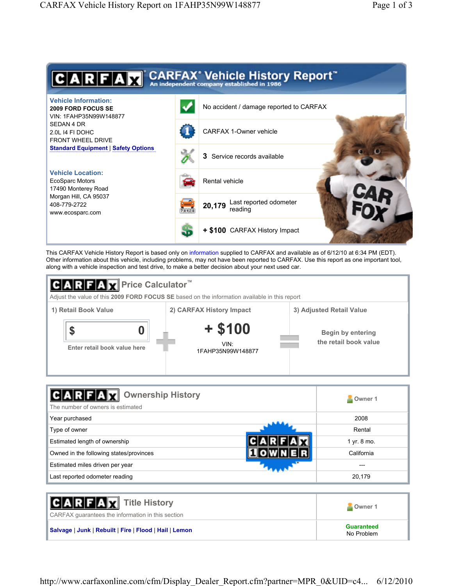

This CARFAX Vehicle History Report is based only on information supplied to CARFAX and available as of 6/12/10 at 6:34 PM (EDT). Other information about this vehicle, including problems, may not have been reported to CARFAX. Use this report as one important tool, along with a vehicle inspection and test drive, to make a better decision about your next used car.



| <b>Ownership History</b><br>The number of owners is estimated | Owner 1     |
|---------------------------------------------------------------|-------------|
| Year purchased                                                | 2008        |
| Type of owner                                                 | Rental      |
| Estimated length of ownership                                 | 1 yr. 8 mo. |
| Owned in the following states/provinces                       | California  |
| Estimated miles driven per year                               |             |
| Last reported odometer reading                                | 20,179      |

| <b>CARFAX</b> Title History<br>CARFAX quarantees the information in this section | Owner 1                         |
|----------------------------------------------------------------------------------|---------------------------------|
| Salvage   Junk   Rebuilt   Fire   Flood   Hail   Lemon                           | <b>Guaranteed</b><br>No Problem |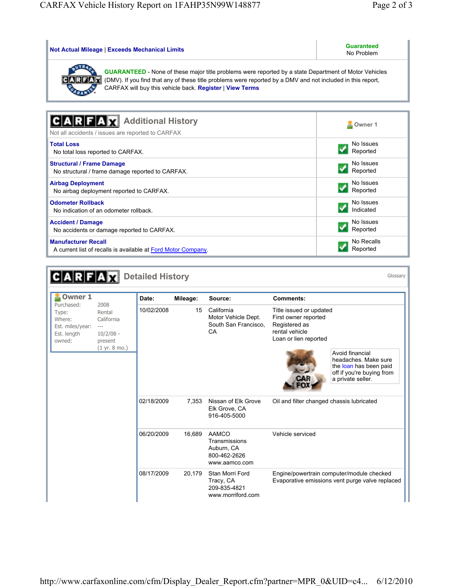A current list of recalls is available at Ford Motor Company.

Reported

| <b>Not Actual Mileage   Exceeds Mechanical Limits</b>                                                                                                                                                                                                                                   | <b>Guaranteed</b><br>No Problem |
|-----------------------------------------------------------------------------------------------------------------------------------------------------------------------------------------------------------------------------------------------------------------------------------------|---------------------------------|
| <b>GUARANTEED</b> - None of these major title problems were reported by a state Department of Motor Vehicles<br>(DMV). If you find that any of these title problems were reported by a DMV and not included in this report,<br>CARFAX will buy this vehicle back. Register   View Terms |                                 |
|                                                                                                                                                                                                                                                                                         |                                 |
| <b>Additional History</b>                                                                                                                                                                                                                                                               | Owner 1                         |
| Not all accidents / issues are reported to CARFAX                                                                                                                                                                                                                                       |                                 |
| <b>Total Loss</b><br>No total loss reported to CARFAX.                                                                                                                                                                                                                                  | No Issues<br>Reported           |
| <b>Structural / Frame Damage</b><br>No structural / frame damage reported to CARFAX.                                                                                                                                                                                                    | No Issues<br>Reported           |
| <b>Airbag Deployment</b><br>No airbag deployment reported to CARFAX.                                                                                                                                                                                                                    | No Issues<br>Reported           |
| <b>Odometer Rollback</b><br>No indication of an odometer rollback.                                                                                                                                                                                                                      | No Issues<br>Indicated          |
| <b>Accident / Damage</b><br>No accidents or damage reported to CARFAX.                                                                                                                                                                                                                  | No Issues<br>Reported           |
| <b>Manufacturer Recall</b>                                                                                                                                                                                                                                                              | No Recalls                      |

|                                                                                              | REAX                                                                                        | <b>Detailed History</b> |          |                                                                       |                                                                                                             | Glossary                                                                                                            |
|----------------------------------------------------------------------------------------------|---------------------------------------------------------------------------------------------|-------------------------|----------|-----------------------------------------------------------------------|-------------------------------------------------------------------------------------------------------------|---------------------------------------------------------------------------------------------------------------------|
| <b>Owner 1</b><br>Purchased:<br>Type:<br>Where:<br>Est. miles/year:<br>Est. length<br>owned: | 2008<br>Rental<br>California<br>$\cdots$<br>$10/2/08 -$<br>present<br>$(1 \, yr. 8 \, mo.)$ | Date:                   | Mileage: | Source:                                                               | <b>Comments:</b>                                                                                            |                                                                                                                     |
|                                                                                              |                                                                                             | 10/02/2008              | 15       | California<br>Motor Vehicle Dept.<br>South San Francisco.<br>CA       | Title issued or updated<br>First owner reported<br>Registered as<br>rental vehicle<br>Loan or lien reported | Avoid financial<br>headaches. Make sure<br>the loan has been paid<br>off if you're buying from<br>a private seller. |
|                                                                                              |                                                                                             | 02/18/2009              | 7,353    | Nissan of Elk Grove<br>Elk Grove, CA<br>916-405-5000                  | Oil and filter changed chassis lubricated                                                                   |                                                                                                                     |
|                                                                                              |                                                                                             | 06/20/2009              | 16,689   | AAMCO<br>Transmissions<br>Auburn, CA<br>800-462-2626<br>www.aamco.com | Vehicle serviced                                                                                            |                                                                                                                     |
|                                                                                              |                                                                                             | 08/17/2009              | 20,179   | Stan Morri Ford<br>Tracy, CA<br>209-835-4821<br>www.morriford.com     |                                                                                                             | Engine/powertrain computer/module checked<br>Evaporative emissions vent purge valve replaced                        |

http://www.carfaxonline.com/cfm/Display\_Dealer\_Report.cfm?partner=MPR\_0&UID=c4... 6/12/2010